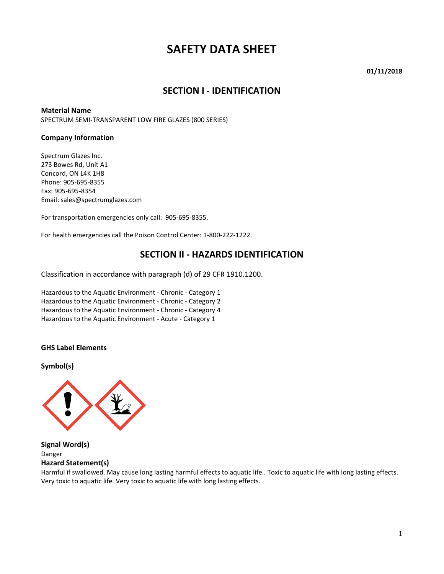# **SAFETY DATA SHEET**

**01/11/2018**

#### **SECTION I - IDENTIFICATION**

#### **Material Name**

SPECTRUM SEMI-TRANSPARENT LOW FIRE GLAZES (800 SERIES)

#### **Company Information**

Spectrum Glazes Inc. 273 Bowes Rd, Unit A1 Concord, ON L4K 1H8 Phone: 905-695-8355 Fax: 905-695-8354 Email: sales@spectrumglazes.com

For transportation emergencies only call: 905-695-8355.

For health emergencies call the Poison Control Center: 1-800-222-1222.

#### **SECTION II - HAZARDS IDENTIFICATION**

Classification in accordance with paragraph (d) of 29 CFR 1910.1200.

Hazardous to the Aquatic Environment - Chronic - Category 1 Hazardous to the Aquatic Environment - Chronic - Category 2 Hazardous to the Aquatic Environment - Chronic - Category 4 Hazardous to the Aquatic Environment - Acute - Category 1

#### **GHS Label Elements**

**Symbol(s)**



**Signal Word(s)** Danger **Hazard Statement(s)**

Harmful if swallowed. May cause long lasting harmful effects to aquatic life.. Toxic to aquatic life with long lasting effects. Very toxic to aquatic life. Very toxic to aquatic life with long lasting effects.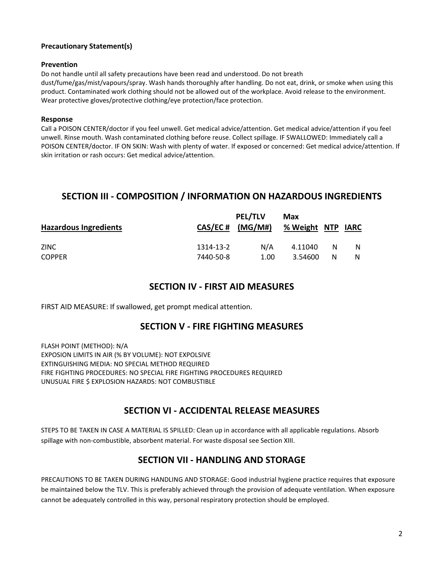#### **Precautionary Statement(s)**

#### **Prevention**

Do not handle until all safety precautions have been read and understood. Do not breath dust/fume/gas/mist/vapours/spray. Wash hands thoroughly after handling. Do not eat, drink, or smoke when using this product. Contaminated work clothing should not be allowed out of the workplace. Avoid release to the environment. Wear protective gloves/protective clothing/eye protection/face protection.

#### **Response**

Call a POISON CENTER/doctor if you feel unwell. Get medical advice/attention. Get medical advice/attention if you feel unwell. Rinse mouth. Wash contaminated clothing before reuse. Collect spillage. IF SWALLOWED: Immediately call a POISON CENTER/doctor. IF ON SKIN: Wash with plenty of water. If exposed or concerned: Get medical advice/attention. If skin irritation or rash occurs: Get medical advice/attention.

## **SECTION III - COMPOSITION / INFORMATION ON HAZARDOUS INGREDIENTS**

| N/A                    | 4.11040 | N       |   |
|------------------------|---------|---------|---|
| 1314-13-2<br>7440-50-8 | 1.00    | 3.54600 | N |

### **SECTION IV - FIRST AID MEASURES**

FIRST AID MEASURE: If swallowed, get prompt medical attention.

### **SECTION V - FIRE FIGHTING MEASURES**

FLASH POINT (METHOD): N/A EXPOSION LIMITS IN AIR (% BY VOLUME): NOT EXPOLSIVE EXTINGUISHING MEDIA: NO SPECIAL METHOD REQUIRED FIRE FIGHTING PROCEDURES: NO SPECIAL FIRE FIGHTING PROCEDURES REQUIRED UNUSUAL FIRE \$ EXPLOSION HAZARDS: NOT COMBUSTIBLE

## **SECTION VI - ACCIDENTAL RELEASE MEASURES**

STEPS TO BE TAKEN IN CASE A MATERIAL IS SPILLED: Clean up in accordance with all applicable regulations. Absorb spillage with non-combustible, absorbent material. For waste disposal see Section XIII.

### **SECTION VII - HANDLING AND STORAGE**

PRECAUTIONS TO BE TAKEN DURING HANDLING AND STORAGE: Good industrial hygiene practice requires that exposure be maintained below the TLV. This is preferably achieved through the provision of adequate ventilation. When exposure cannot be adequately controlled in this way, personal respiratory protection should be employed.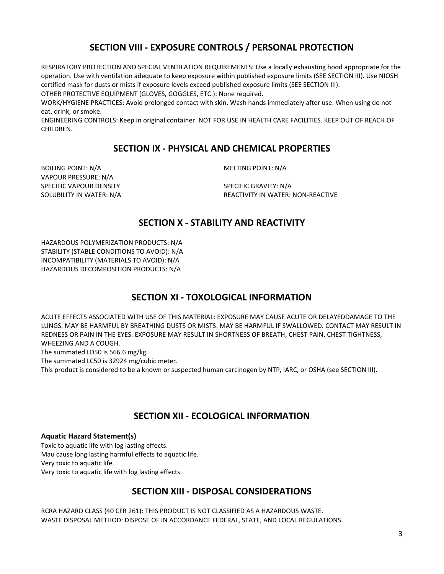## **SECTION VIII - EXPOSURE CONTROLS / PERSONAL PROTECTION**

RESPIRATORY PROTECTION AND SPECIAL VENTILATION REQUIREMENTS: Use a locally exhausting hood appropriate for the operation. Use with ventilation adequate to keep exposure within published exposure limits (SEE SECTION III). Use NIOSH certified mask for dusts or mists if exposure levels exceed published exposure limits (SEE SECTION III).

OTHER PROTECTIVE EQUIPMENT (GLOVES, GOGGLES, ETC.): None required.

WORK/HYGIENE PRACTICES: Avoid prolonged contact with skin. Wash hands immediately after use. When using do not eat, drink, or smoke.

ENGINEERING CONTROLS: Keep in original container. NOT FOR USE IN HEALTH CARE FACILITIES. KEEP OUT OF REACH OF CHILDREN.

### **SECTION IX - PHYSICAL AND CHEMICAL PROPERTIES**

BOILING POINT: N/A and a metal of the metal of the MELTING POINT: N/A VAPOUR PRESSURE: N/A SPECIFIC VAPOUR DENSITY SPECIFIC GRAVITY: N/A

SOLUBILITY IN WATER: N/A **REACTIVITY IN WATER: NON-REACTIVE** 

### **SECTION X - STABILITY AND REACTIVITY**

HAZARDOUS POLYMERIZATION PRODUCTS: N/A STABILITY (STABLE CONDITIONS TO AVOID): N/A INCOMPATIBILITY (MATERIALS TO AVOID): N/A HAZARDOUS DECOMPOSITION PRODUCTS: N/A

## **SECTION XI - TOXOLOGICAL INFORMATION**

ACUTE EFFECTS ASSOCIATED WITH USE OF THIS MATERIAL: EXPOSURE MAY CAUSE ACUTE OR DELAYEDDAMAGE TO THE LUNGS. MAY BE HARMFUL BY BREATHING DUSTS OR MISTS. MAY BE HARMFUL IF SWALLOWED. CONTACT MAY RESULT IN REDNESS OR PAIN IN THE EYES. EXPOSURE MAY RESULT IN SHORTNESS OF BREATH, CHEST PAIN, CHEST TIGHTNESS, WHEEZING AND A COUGH.

The summated LD50 is 566.6 mg/kg.

The summated LC50 is 32924 mg/cubic meter.

This product is considered to be a known or suspected human carcinogen by NTP, IARC, or OSHA (see SECTION III).

## **SECTION XII - ECOLOGICAL INFORMATION**

#### **Aquatic Hazard Statement(s)**

Toxic to aquatic life with log lasting effects. Mau cause long lasting harmful effects to aquatic life. Very toxic to aquatic life. Very toxic to aquatic life with log lasting effects.

## **SECTION XIII - DISPOSAL CONSIDERATIONS**

RCRA HAZARD CLASS (40 CFR 261): THIS PRODUCT IS NOT CLASSIFIED AS A HAZARDOUS WASTE. WASTE DISPOSAL METHOD: DISPOSE OF IN ACCORDANCE FEDERAL, STATE, AND LOCAL REGULATIONS.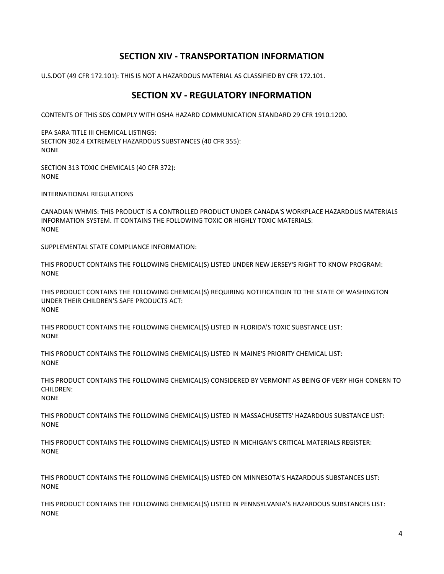## **SECTION XIV - TRANSPORTATION INFORMATION**

U.S.DOT (49 CFR 172.101): THIS IS NOT A HAZARDOUS MATERIAL AS CLASSIFIED BY CFR 172.101.

## **SECTION XV - REGULATORY INFORMATION**

CONTENTS OF THIS SDS COMPLY WITH OSHA HAZARD COMMUNICATION STANDARD 29 CFR 1910.1200.

EPA SARA TITLE III CHEMICAL LISTINGS: SECTION 302.4 EXTREMELY HAZARDOUS SUBSTANCES (40 CFR 355): **NONE** 

SECTION 313 TOXIC CHEMICALS (40 CFR 372): NONE

INTERNATIONAL REGULATIONS

CANADIAN WHMIS: THIS PRODUCT IS A CONTROLLED PRODUCT UNDER CANADA'S WORKPLACE HAZARDOUS MATERIALS INFORMATION SYSTEM. IT CONTAINS THE FOLLOWING TOXIC OR HIGHLY TOXIC MATERIALS: NONE

SUPPLEMENTAL STATE COMPLIANCE INFORMATION:

THIS PRODUCT CONTAINS THE FOLLOWING CHEMICAL(S) LISTED UNDER NEW JERSEY'S RIGHT TO KNOW PROGRAM: NONE

THIS PRODUCT CONTAINS THE FOLLOWING CHEMICAL(S) REQUIRING NOTIFICATIOJN TO THE STATE OF WASHINGTON UNDER THEIR CHILDREN'S SAFE PRODUCTS ACT: NONE

THIS PRODUCT CONTAINS THE FOLLOWING CHEMICAL(S) LISTED IN FLORIDA'S TOXIC SUBSTANCE LIST: NONE

THIS PRODUCT CONTAINS THE FOLLOWING CHEMICAL(S) LISTED IN MAINE'S PRIORITY CHEMICAL LIST: NONE

THIS PRODUCT CONTAINS THE FOLLOWING CHEMICAL(S) CONSIDERED BY VERMONT AS BEING OF VERY HIGH CONERN TO  $CHII$  DREN $\cdot$ NONE

THIS PRODUCT CONTAINS THE FOLLOWING CHEMICAL(S) LISTED IN MASSACHUSETTS' HAZARDOUS SUBSTANCE LIST: NONE

THIS PRODUCT CONTAINS THE FOLLOWING CHEMICAL(S) LISTED IN MICHIGAN'S CRITICAL MATERIALS REGISTER: NONE

THIS PRODUCT CONTAINS THE FOLLOWING CHEMICAL(S) LISTED ON MINNESOTA'S HAZARDOUS SUBSTANCES LIST: NONE

THIS PRODUCT CONTAINS THE FOLLOWING CHEMICAL(S) LISTED IN PENNSYLVANIA'S HAZARDOUS SUBSTANCES LIST: NONE